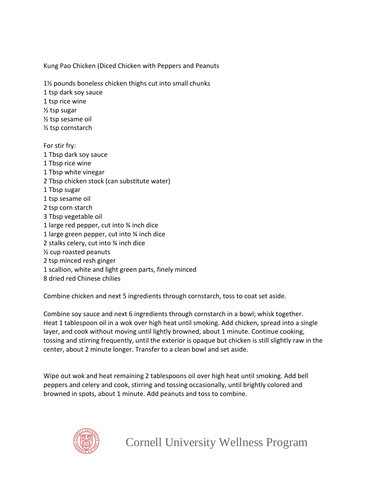Kung Pao Chicken (Diced Chicken with Peppers and Peanuts

1½ pounds boneless chicken thighs cut into small chunks

1 tsp dark soy sauce

1 tsp rice wine

½ tsp sugar

½ tsp sesame oil

½ tsp cornstarch

For stir fry: 1 Tbsp dark soy sauce 1 Tbsp rice wine 1 Tbsp white vinegar 2 Tbsp chicken stock (can substitute water) 1 Tbsp sugar 1 tsp sesame oil 2 tsp corn starch 3 Tbsp vegetable oil 1 large red pepper, cut into ¾ inch dice 1 large green pepper, cut into ¾ inch dice 2 stalks celery, cut into ¾ inch dice ½ cup roasted peanuts 2 tsp minced resh ginger 1 scallion, white and light green parts, finely minced

8 dried red Chinese chilies

Combine chicken and next 5 ingredients through cornstarch, toss to coat set aside.

Combine soy sauce and next 6 ingredients through cornstarch in a bowl; whisk together. Heat 1 tablespoon oil in a wok over high heat until smoking. Add chicken, spread into a single layer, and cook without moving until lightly browned, about 1 minute. Continue cooking, tossing and stirring frequently, until the exterior is opaque but chicken is still slightly raw in the center, about 2 minute longer. Transfer to a clean bowl and set aside.

Wipe out wok and heat remaining 2 tablespoons oil over high heat until smoking. Add bell peppers and celery and cook, stirring and tossing occasionally, until brightly colored and browned in spots, about 1 minute. Add peanuts and toss to combine.